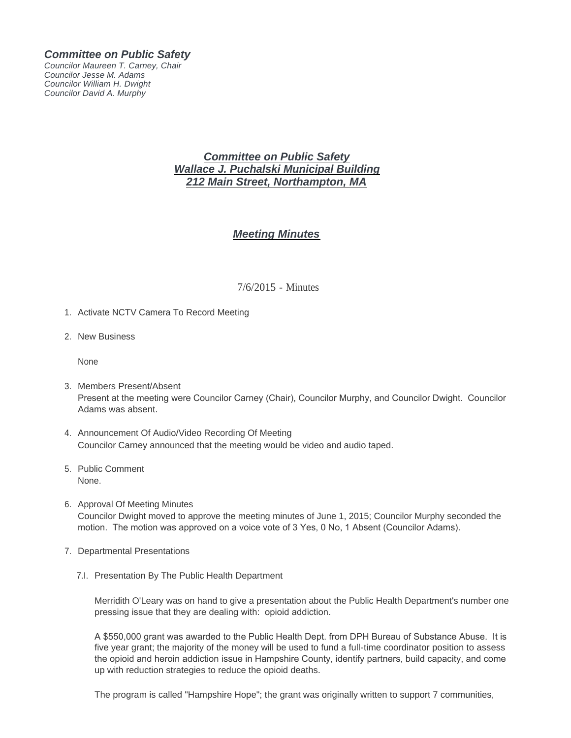### *Committee on Public Safety*

*Councilor Maureen T. Carney, Chair Councilor Jesse M. Adams Councilor William H. Dwight Councilor David A. Murphy*

## *Committee on Public Safety Wallace J. Puchalski Municipal Building 212 Main Street, Northampton, MA*

# *Meeting Minutes*

### 7/6/2015 - Minutes

- 1. Activate NCTV Camera To Record Meeting
- 2. New Business

None

- 3. Members Present/Absent Present at the meeting were Councilor Carney (Chair), Councilor Murphy, and Councilor Dwight. Councilor Adams was absent.
- 4. Announcement Of Audio/Video Recording Of Meeting Councilor Carney announced that the meeting would be video and audio taped.
- 5. Public Comment None.
- 6. Approval Of Meeting Minutes Councilor Dwight moved to approve the meeting minutes of June 1, 2015; Councilor Murphy seconded the motion. The motion was approved on a voice vote of 3 Yes, 0 No, 1 Absent (Councilor Adams).
- 7. Departmental Presentations
	- 7.I. Presentation By The Public Health Department

Merridith O'Leary was on hand to give a presentation about the Public Health Department's number one pressing issue that they are dealing with: opioid addiction.

A \$550,000 grant was awarded to the Public Health Dept. from DPH Bureau of Substance Abuse. It is five year grant; the majority of the money will be used to fund a full-time coordinator position to assess the opioid and heroin addiction issue in Hampshire County, identify partners, build capacity, and come up with reduction strategies to reduce the opioid deaths.

The program is called "Hampshire Hope"; the grant was originally written to support 7 communities,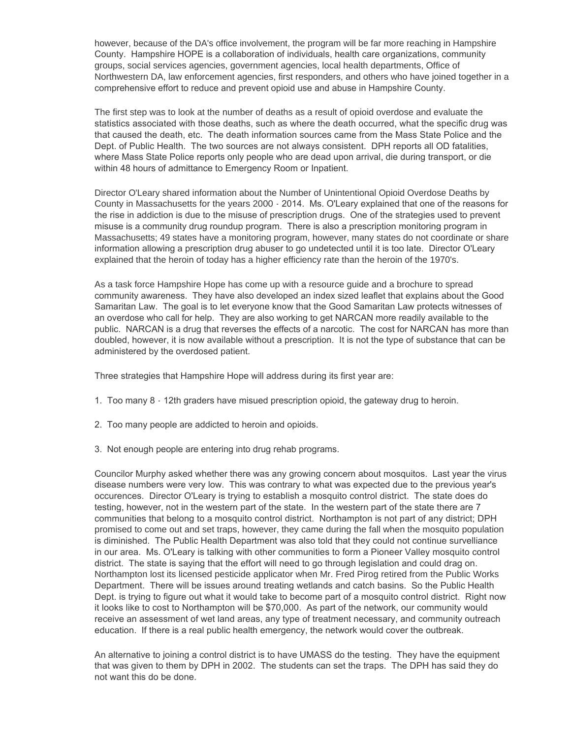however, because of the DA's office involvement, the program will be far more reaching in Hampshire County. Hampshire HOPE is a collaboration of individuals, health care organizations, community groups, social services agencies, government agencies, local health departments, Office of Northwestern DA, law enforcement agencies, first responders, and others who have joined together in a comprehensive effort to reduce and prevent opioid use and abuse in Hampshire County.

The first step was to look at the number of deaths as a result of opioid overdose and evaluate the statistics associated with those deaths, such as where the death occurred, what the specific drug was that caused the death, etc. The death information sources came from the Mass State Police and the Dept. of Public Health. The two sources are not always consistent. DPH reports all OD fatalities, where Mass State Police reports only people who are dead upon arrival, die during transport, or die within 48 hours of admittance to Emergency Room or Inpatient.

Director O'Leary shared information about the Number of Unintentional Opioid Overdose Deaths by County in Massachusetts for the years 2000 - 2014. Ms. O'Leary explained that one of the reasons for the rise in addiction is due to the misuse of prescription drugs. One of the strategies used to prevent misuse is a community drug roundup program. There is also a prescription monitoring program in Massachusetts; 49 states have a monitoring program, however, many states do not coordinate or share information allowing a prescription drug abuser to go undetected until it is too late. Director O'Leary explained that the heroin of today has a higher efficiency rate than the heroin of the 1970's.

As a task force Hampshire Hope has come up with a resource guide and a brochure to spread community awareness. They have also developed an index sized leaflet that explains about the Good Samaritan Law. The goal is to let everyone know that the Good Samaritan Law protects witnesses of an overdose who call for help. They are also working to get NARCAN more readily available to the public. NARCAN is a drug that reverses the effects of a narcotic. The cost for NARCAN has more than doubled, however, it is now available without a prescription. It is not the type of substance that can be administered by the overdosed patient.

Three strategies that Hampshire Hope will address during its first year are:

- 1. Too many 8 12th graders have misued prescription opioid, the gateway drug to heroin.
- 2. Too many people are addicted to heroin and opioids.
- 3. Not enough people are entering into drug rehab programs.

Councilor Murphy asked whether there was any growing concern about mosquitos. Last year the virus disease numbers were very low. This was contrary to what was expected due to the previous year's occurences. Director O'Leary is trying to establish a mosquito control district. The state does do testing, however, not in the western part of the state. In the western part of the state there are 7 communities that belong to a mosquito control district. Northampton is not part of any district; DPH promised to come out and set traps, however, they came during the fall when the mosquito population is diminished. The Public Health Department was also told that they could not continue survelliance in our area. Ms. O'Leary is talking with other communities to form a Pioneer Valley mosquito control district. The state is saying that the effort will need to go through legislation and could drag on. Northampton lost its licensed pesticide applicator when Mr. Fred Pirog retired from the Public Works Department. There will be issues around treating wetlands and catch basins. So the Public Health Dept. is trying to figure out what it would take to become part of a mosquito control district. Right now it looks like to cost to Northampton will be \$70,000. As part of the network, our community would receive an assessment of wet land areas, any type of treatment necessary, and community outreach education. If there is a real public health emergency, the network would cover the outbreak.

An alternative to joining a control district is to have UMASS do the testing. They have the equipment that was given to them by DPH in 2002. The students can set the traps. The DPH has said they do not want this do be done.